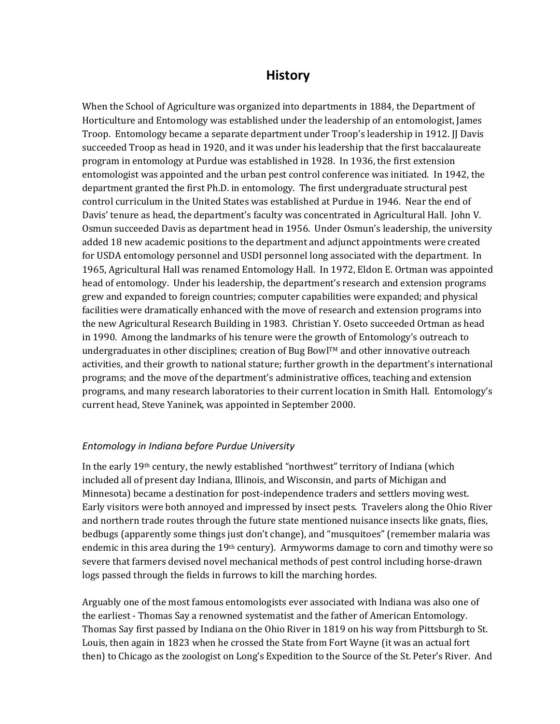# **History**

When the School of Agriculture was organized into departments in 1884, the Department of Horticulture and Entomology was established under the leadership of an entomologist, James Troop. Entomology became a separate department under Troop's leadership in 1912. JJ Davis succeeded Troop as head in 1920, and it was under his leadership that the first baccalaureate program in entomology at Purdue was established in 1928. In 1936, the first extension entomologist was appointed and the urban pest control conference was initiated. In 1942, the department granted the first Ph.D. in entomology. The first undergraduate structural pest control curriculum in the United States was established at Purdue in 1946. Near the end of Davis' tenure as head, the department's faculty was concentrated in Agricultural Hall. John V. Osmun succeeded Davis as department head in 1956. Under Osmun's leadership, the university added 18 new academic positions to the department and adjunct appointments were created for USDA entomology personnel and USDI personnel long associated with the department. In 1965, Agricultural Hall was renamed Entomology Hall. In 1972, Eldon E. Ortman was appointed head of entomology. Under his leadership, the department's research and extension programs grew and expanded to foreign countries; computer capabilities were expanded; and physical facilities were dramatically enhanced with the move of research and extension programs into the new Agricultural Research Building in 1983. Christian Y. Oseto succeeded Ortman as head in 1990. Among the landmarks of his tenure were the growth of Entomology's outreach to undergraduates in other disciplines; creation of Bug Bowl™ and other innovative outreach activities, and their growth to national stature; further growth in the department's international programs; and the move of the department's administrative offices, teaching and extension programs, and many research laboratories to their current location in Smith Hall. Entomology's urrent head, Steve Yaninek, was appointed in September 2000. c

#### *Entomology in before Purdue University Indiana*

In the early 19th century, the newly established "northwest" territory of Indiana (which included all of present day Indiana, Illinois, and Wisconsin, and parts of Michigan and Minnesota) became a destination for post-independence traders and settlers moving west. Early visitors were both annoyed and impressed by insect pests. Travelers along the Ohio River and northern trade routes through the future state mentioned nuisance insects like gnats, flies, bedbugs (apparently some things just don't change), and "musquitoes" (remember malaria was endemic in this area during the  $19<sup>th</sup>$  century). Armyworms damage to corn and timothy were so severe that farmers devised novel mechanical methods of pest control including horse-drawn logs passed through the fields in furrows to kill the marching hordes.

Arguably one of the most famous entomologists ever associated with Indiana was also one of the earliest ‐ Thomas Say a renowned systematist and the father of American Entomology. Thomas Say first passed by Indiana on the Ohio River in 1819 on his way from Pittsburgh to St. Louis, then again in 1823 when he crossed the State from Fort Wayne (it was an actual fort then) to Chicago as the zoologist on Long's Expedition to the Source of the St. Peter's River. And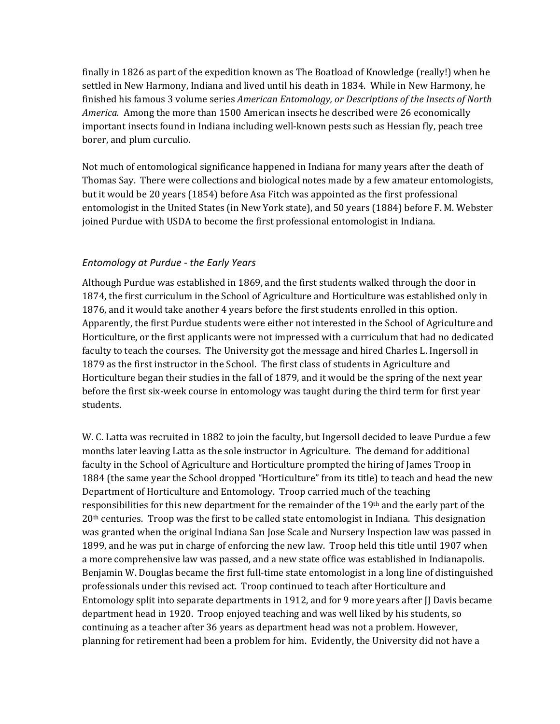finally in 1826 as part of the expedition known as The Boatload of Knowledge (really!) when he settled in New Harmony, Indiana and lived until his death in 1834. While in New Harmony, he finished his famous 3 volume series *American Entomology, or Descriptions of the Insects of North America.* Among the more than 1500 American insects he described were 26 economically important insects found in Indiana including well‐known pests such as Hessian fly, peach tree borer, and plum curculio.

Not much of entomological significance happened in Indiana for many years after the death of Thomas Say. There were collections and biological notes made by a few amateur entomologists, but it would be 20 years (1854) before Asa Fitch was appointed as the first professional entomologist in the United States (in New York state), and 50 years (1884) before F. M. Webster joined Purdue with USDA to become the first professional entomologist in Indiana.

### *Entomology at Purdue ‐ the Early Years*

Although Purdue was established in 1869, and the first students walked through the door in 1874, the first curriculum in the School of Agriculture and Horticulture was established only in 1876, and it would take another 4 years before the first students enrolled in this option. Apparently, the first Purdue students were either not interested in the School of Agriculture and Horticulture, or the first applicants were not impressed with a curriculum that had no dedicated faculty to teach the courses. The University got the message and hired Charles L. Ingersoll in 1879 as the first instructor in the School. The first class of students in Agriculture and Horticulture began their studies in the fall of 1879, and it would be the spring of the next year before the first six-week course in entomology was taught during the third term for first year students.

W. C. Latta was recruited in 1882 to join the faculty, but Ingersoll decided to leave Purdue a few months later leaving Latta as the sole instructor in Agriculture. The demand for additional faculty in the School of Agriculture and Horticulture prompted the hiring of James Troop in 1884 (the same year the School dropped "Horticulture" from its title) to teach and head the new Department of Horticulture and Entomology. Troop carried much of the teaching responsibilities for this new department for the remainder of the 19th and the early part of the 20th centuries. Troop was the first to be called state entomologist in Indiana. This designation was granted when the original Indiana San Jose Scale and Nursery Inspection law was passed in 1899, and he was put in charge of enforcing the new law. Troop held this title until 1907 when a more comprehensive law was passed, and a new state office was established in Indianapolis. Benjamin W. Douglas became the first full-time state entomologist in a long line of distinguished professionals under this revised act. Troop continued to teach after Horticulture and Entomology split into separate departments in 1912, and for 9 more years after II Davis became department head in 1920. Troop enjoyed teaching and was well liked by his students, so continuing as a teacher after 36 years as department head was not a problem. However, planning for retirement had been a problem for him. Evidently, the University did not have a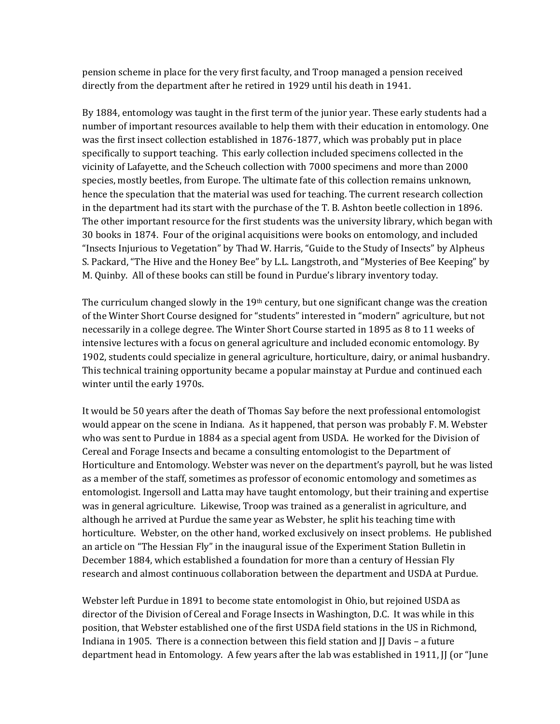pension scheme in place for the very first faculty, and Troop managed a pension received directly from the department after he retired in 1929 until his death in 1941.

By 1884, entomology was taught in the first term of the junior year. These early students had a number of important resources available to help them with their education in entomology. One was the first insect collection established in 1876‐1877, which was probably put in place specifically to support teaching. This early collection included specimens collected in the vicinity of Lafayette, and the Scheuch collection with 7000 specimens and more than 2000 species, mostly beetles, from Europe. The ultimate fate of this collection remains unknown, hence the speculation that the material was used for teaching. The current research collection in the department had its start with the purchase of the T. B. Ashton beetle collection in 1896. The other important resource for the first students was the university library, which began with 30 books in 1874. Four of the original acquisitions were books on entomology, and included "Insects Injurious to Vegetation" by Thad W. Harris, "Guide to the Study of Insects" by Alpheus S. Packard, "The Hive and the Honey Bee" by L.L. Langstroth, and "Mysteries of Bee Keeping" by M. Quinby. All of these books can still be found in Purdue's library inventory today.

The curriculum changed slowly in the  $19<sup>th</sup>$  century, but one significant change was the creation of the Winter Short Course designed for "students" interested in "modern" agriculture, but not necessarily in a college degree. The Winter Short Course started in 1895 as 8 to 11 weeks of intensive lectures with a focus on general agriculture and included economic entomology. By 1902, students could specialize in general agriculture, horticulture, dairy, or animal husbandry. This technical training opportunity became a popular mainstay at Purdue and continued each winter until the early 1970s.

It would be 50 years after the death of Thomas Say before the next professional entomologist would appear on the scene in Indiana. As it happened, that person was probably F. M. Webster who was sent to Purdue in 1884 as a special agent from USDA. He worked for the Division of Cereal and Forage Insects and became a consulting entomologist to the Department of Horticulture and Entomology. Webster was never on the department's payroll, but he was listed as a member of the staff, sometimes as professor of economic entomology and sometimes as entomologist. Ingersoll and Latta may have taught entomology, but their training and expertise was in general agriculture. Likewise, Troop was trained as a generalist in agriculture, and although he arrived at Purdue the same year as Webster, he split his teaching time with horticulture. Webster, on the other hand, worked exclusively on insect problems. He published an article on "The Hessian Fly" in the inaugural issue of the Experiment Station Bulletin in December 1884, which established a foundation for more than a century of Hessian Fly research and almost continuous collaboration between the department and USDA at Purdue.

Webster left Purdue in 1891 to become state entomologist in Ohio, but rejoined USDA as director of the Division of Cereal and Forage Insects in Washington, D.C. It was while in this position, that Webster established one of the first USDA field stations in the US in Richmond, Indiana in 1905. There is a connection between this field station and II Davis – a future department head in Entomology. A few years after the lab was established in 1911, JJ (or "June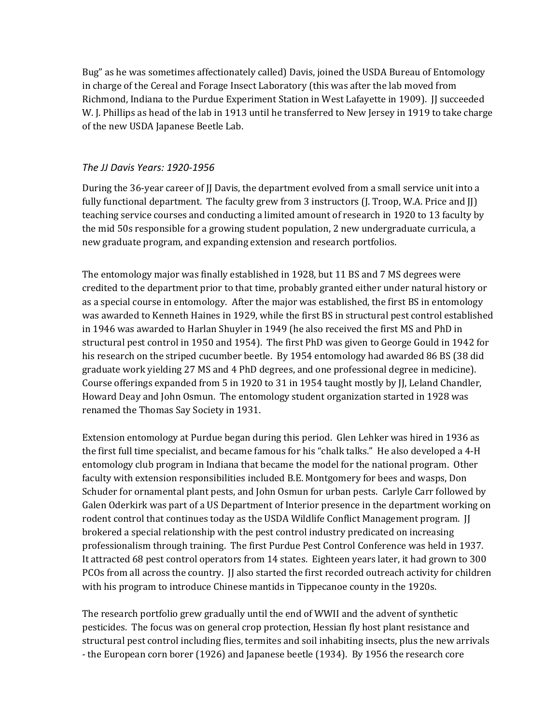Bug" as he was sometimes affectionately called) Davis, joined the USDA Bureau of Entomology in charge of the Cereal and Forage Insect Laboratory (this was after the lab moved from Richmond, Indiana to the Purdue Experiment Station in West Lafayette in 1909). JJ succeeded W. J. Phillips as head of the lab in 1913 until he transferred to New Jersey in 1919 to take charge of the new USDA Japanese Beetle Lab.

## *The JJ Davis Years: 1920‐1956*

During the 36-year career of II Davis, the department evolved from a small service unit into a fully functional department. The faculty grew from 3 instructors (J. Troop, W.A. Price and JJ) teaching service courses and conducting a limited amount of research in 1920 to 13 faculty by the mid 50s responsible for a growing student population, 2 new undergraduate curricula, a new graduate program, and expanding extension and research portfolios.

The entomology major was finally established in 1928, but 11 BS and 7 MS degrees were credited to the department prior to that time, probably granted either under natural history or as a special course in entomology. After the major was established, the first BS in entomology was awarded to Kenneth Haines in 1929, while the first BS in structural pest control established in 1946 was awarded to Harlan Shuyler in 1949 (he also received the first MS and PhD in structural pest control in 1950 and 1954). The first PhD was given to George Gould in 1942 for his research on the striped cucumber beetle. By 1954 entomology had awarded 86 BS (38 did graduate work yielding 27 MS and 4 PhD degrees, and one professional degree in medicine). Course offerings expanded from 5 in 1920 to 31 in 1954 taught mostly by JJ, Leland Chandler, Howard Deay and John Osmun. The entomology student organization started in 1928 was renamed the Thomas Say Society in 1931.

Extension entomology at Purdue began during this period. Glen Lehker was hired in 1936 as the first full time specialist, and became famous for his "chalk talks." He also developed a 4‐H entomology club program in Indiana that became the model for the national program. Other faculty with extension responsibilities included B.E. Montgomery for bees and wasps, Don Schuder for ornamental plant pests, and John Osmun for urban pests. Carlyle Carr followed by Galen Oderkirk was part of a US Department of Interior presence in the department working on rodent control that continues today as the USDA Wildlife Conflict Management program. JJ brokered a special relationship with the pest control industry predicated on increasing professionalism through training. The first Purdue Pest Control Conference was held in 1937. It attracted 68 pest control operators from 14 states. Eighteen years later, it had grown to 300 PCOs from all across the country. JJ also started the first recorded outreach activity for children with his program to introduce Chinese mantids in Tippecanoe county in the 1920s.

The research portfolio grew gradually until the end of WWII and the advent of synthetic pesticides. The focus was on general crop protection, Hessian fly host plant resistance and structural pest control including flies, termites and soil inhabiting insects, plus the new arrivals ‐ the European corn borer (1926) and Japanese beetle (1934). By 1956 the research core